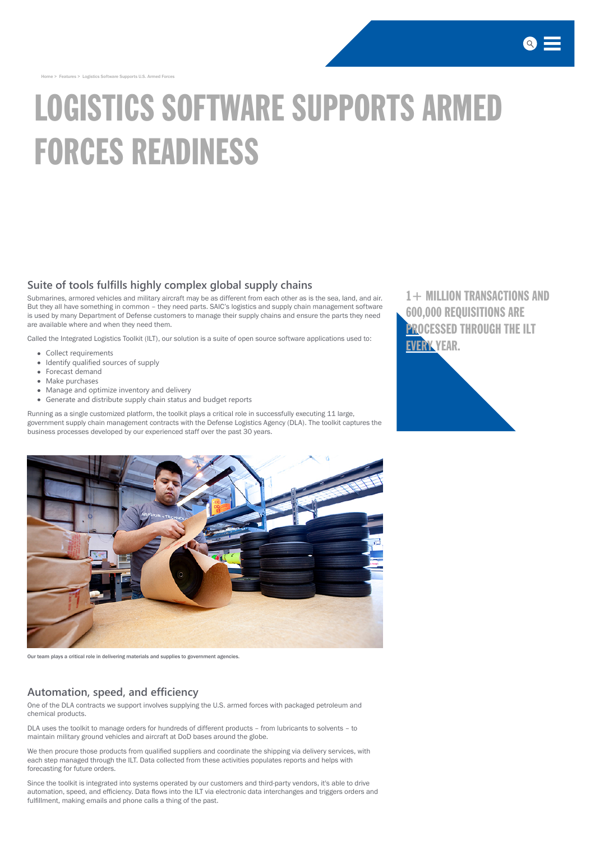[Home](http://www.saic.com/) > Features > Logistics Software Supports U.S. Armed Forces

# LOGISTICS SOFTWARE SUPPORTS ARMED FORCES READINESS

#### **Suite of tools fulfills highly complex global supply chains**

Submarines, armored vehicles and military aircraft may be as different from each other as is the sea, land, and air. But they all have something in common – they need parts. SAIC's logistics and supply chain management software is used by many Department of Defense customers to manage their supply chains and ensure the parts they need are available where and when they need them.

- Collect requirements
- Identify qualified sources of supply
- Forecast demand
- Make purchases
- Manage and optimize inventory and delivery
- Generate and distribute supply chain status and budget reports

Called the Integrated Logistics Toolkit (ILT), our solution is a suite of open source software applications used to:

Running as a single customized platform, the toolkit plays a critical role in successfully executing 11 large, government supply chain management contracts with the Defense Logistics Agency (DLA). The toolkit captures the business processes developed by our experienced staff over the past 30 years.



[1+ MILLION TRANSACTIONS AND](http://www.saic.com/features/Logistics-Software-Supports-Readiness-of-U.S.-Armed-Forces) 600,000 REQUISITIONS ARE **PROCESSED THROUGH THE ILT** EVERY YEAR.





Our team plays a critical role in delivering materials and supplies to government agencies.

#### **Automation, speed, and efficiency**

One of the DLA contracts we support involves supplying the U.S. armed forces with packaged petroleum and chemical products.

DLA uses the toolkit to manage orders for hundreds of different products – from lubricants to solvents – to maintain military ground vehicles and aircraft at DoD bases around the globe.

We then procure those products from qualified suppliers and coordinate the shipping via delivery services, with each step managed through the ILT. Data collected from these activities populates reports and helps with forecasting for future orders.

Since the toolkit is integrated into systems operated by our customers and third-party vendors, it's able to drive automation, speed, and efficiency. Data flows into the ILT via electronic data interchanges and triggers orders and fulfillment, making emails and phone calls a thing of the past.